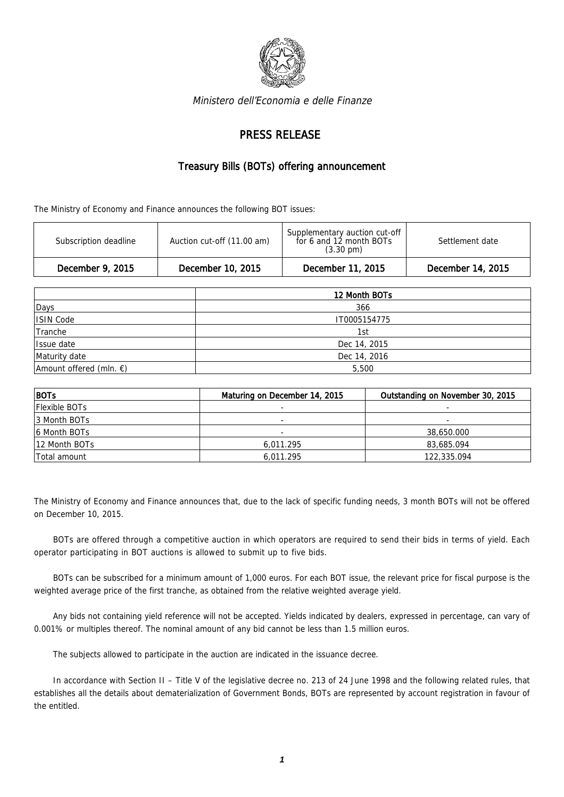

Ministero dell'Economia e delle Finanze

## PRESS RELEASE

## Treasury Bills (BOTs) offering announcement

The Ministry of Economy and Finance announces the following BOT issues:

| Subscription deadline | Auction cut-off (11.00 am) | Supplementary auction cut-off<br>for 6 and 12 month BOTs<br>$(3.30 \text{ pm})$ | Settlement date   |
|-----------------------|----------------------------|---------------------------------------------------------------------------------|-------------------|
| December 9, 2015      | December 10, 2015          | December 11, 2015                                                               | December 14, 2015 |

|                                   | 12 Month BOTs |  |  |
|-----------------------------------|---------------|--|--|
| Days                              | 366           |  |  |
| ISIN Code                         | IT0005154775  |  |  |
| Tranche                           | 1st           |  |  |
| Issue date                        | Dec 14, 2015  |  |  |
| Maturity date                     | Dec 14, 2016  |  |  |
| Amount offered (mln. $\epsilon$ ) | 5,500         |  |  |

| BOTs          | Maturing on December 14, 2015 | Outstanding on November 30, 2015 |
|---------------|-------------------------------|----------------------------------|
| Flexible BOTs |                               |                                  |
| 3 Month BOTs  | $\overline{\phantom{a}}$      | $\sim$                           |
| 6 Month BOTs  |                               | 38,650.000                       |
| 12 Month BOTs | 6,011.295                     | 83,685.094                       |
| Total amount  | 6,011.295                     | 122,335.094                      |

The Ministry of Economy and Finance announces that, due to the lack of specific funding needs, 3 month BOTs will not be offered on December 10, 2015.

BOTs are offered through a competitive auction in which operators are required to send their bids in terms of yield. Each operator participating in BOT auctions is allowed to submit up to five bids.

BOTs can be subscribed for a minimum amount of 1,000 euros. For each BOT issue, the relevant price for fiscal purpose is the weighted average price of the first tranche, as obtained from the relative weighted average yield.

Any bids not containing yield reference will not be accepted. Yields indicated by dealers, expressed in percentage, can vary of 0.001% or multiples thereof. The nominal amount of any bid cannot be less than 1.5 million euros.

The subjects allowed to participate in the auction are indicated in the issuance decree.

In accordance with Section II – Title V of the legislative decree no. 213 of 24 June 1998 and the following related rules, that establishes all the details about dematerialization of Government Bonds, BOTs are represented by account registration in favour of the entitled.